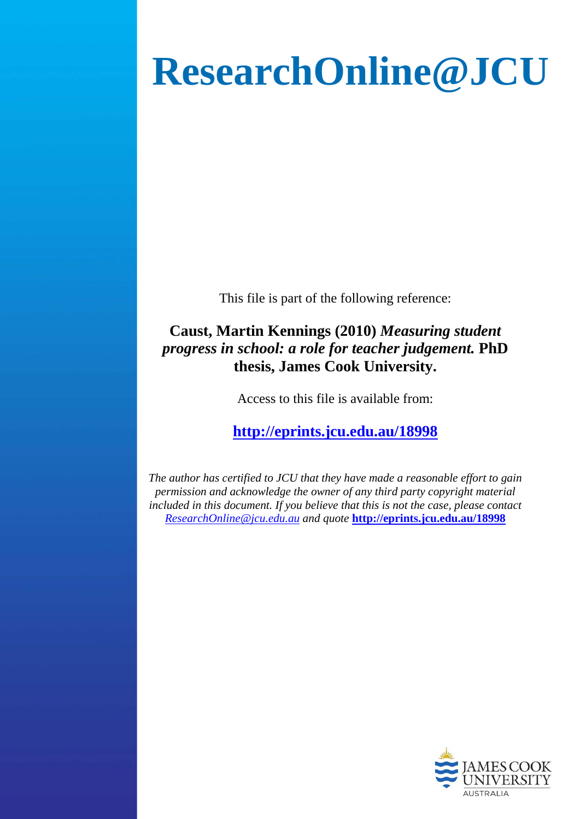# **ResearchOnline@JCU**

This file is part of the following reference:

# **Caust, Martin Kennings (2010)** *Measuring student progress in school: a role for teacher judgement.* **PhD thesis, James Cook University.**

Access to this file is available from:

# **<http://eprints.jcu.edu.au/18998>**

*The author has certified to JCU that they have made a reasonable effort to gain permission and acknowledge the owner of any third party copyright material included in this document. If you believe that this is not the case, please contact [ResearchOnline@jcu.edu.au](mailto:ResearchOnline@jcu.edu.au) and quote* **<http://eprints.jcu.edu.au/18998>**

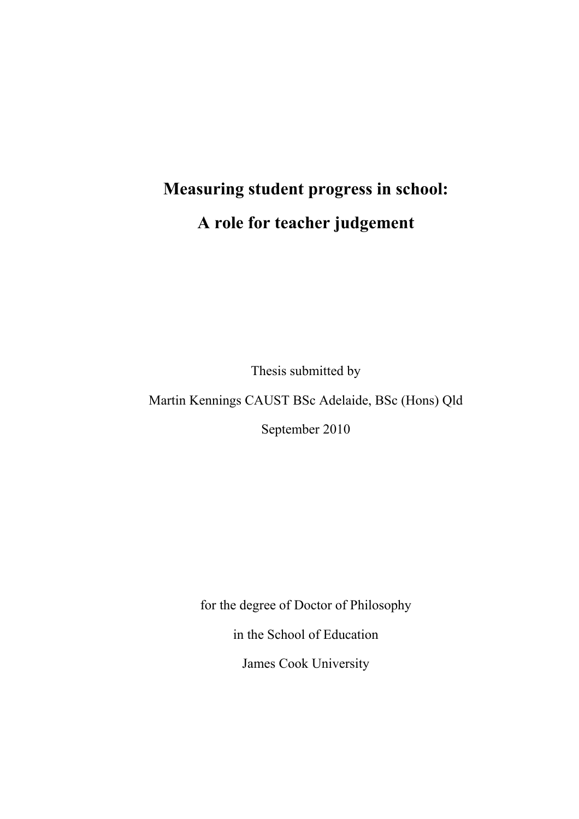# **Measuring student progress in school: A role for teacher judgement**

Thesis submitted by

Martin Kennings CAUST BSc Adelaide, BSc (Hons) Qld

September 2010

for the degree of Doctor of Philosophy

in the School of Education

James Cook University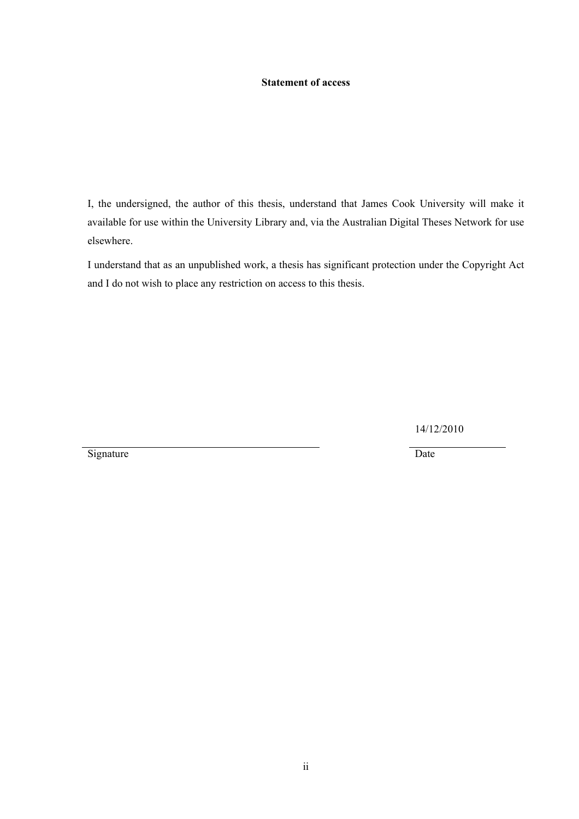#### <span id="page-2-0"></span>**Statement of access**

I, the undersigned, the author of this thesis, understand that James Cook University will make it available for use within the University Library and, via the Australian Digital Theses Network for use elsewhere.

I understand that as an unpublished work, a thesis has significant protection under the Copyright Act and I do not wish to place any restriction on access to this thesis.

14/12/2010

Signature Date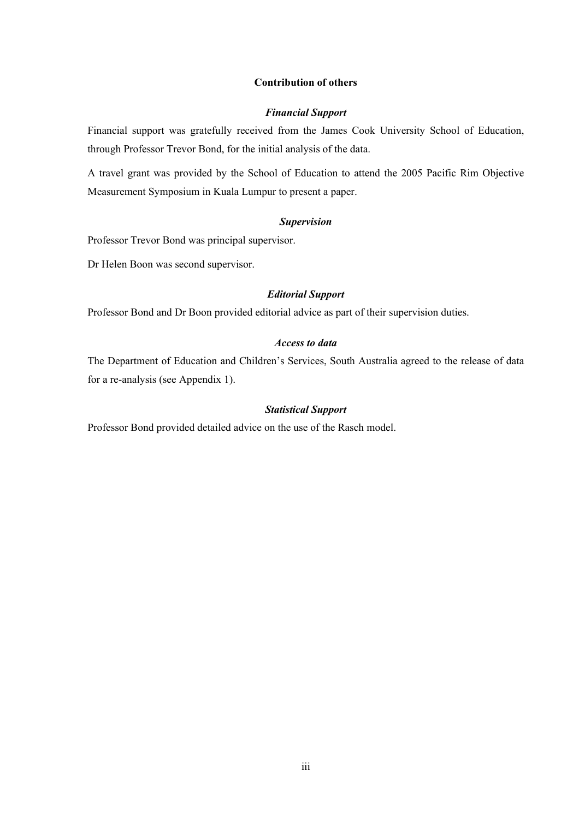#### <span id="page-3-0"></span>**Contribution of others**

#### *Financial Support*

Financial support was gratefully received from the James Cook University School of Education, through Professor Trevor Bond, for the initial analysis of the data.

A travel grant was provided by the School of Education to attend the 2005 Pacific Rim Objective Measurement Symposium in Kuala Lumpur to present a paper.

#### *Supervision*

Professor Trevor Bond was principal supervisor.

Dr Helen Boon was second supervisor.

#### *Editorial Support*

Professor Bond and Dr Boon provided editorial advice as part of their supervision duties.

#### *Access to data*

The Department of Education and Children's Services, South Australia agreed to the release of data for a re-analysis (see Appendix 1).

#### *Statistical Support*

Professor Bond provided detailed advice on the use of the Rasch model.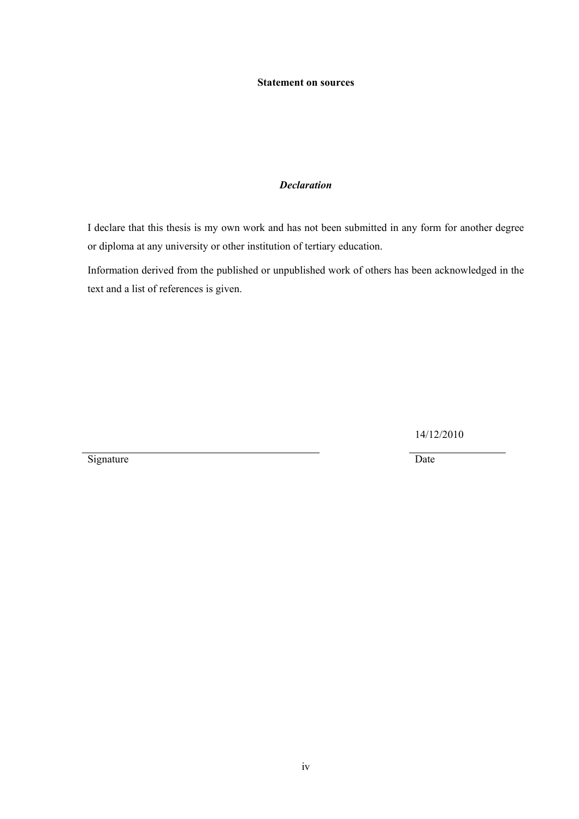#### <span id="page-4-0"></span>**Statement on sources**

#### *Declaration*

I declare that this thesis is my own work and has not been submitted in any form for another degree or diploma at any university or other institution of tertiary education.

Information derived from the published or unpublished work of others has been acknowledged in the text and a list of references is given.

14/12/2010

Signature Date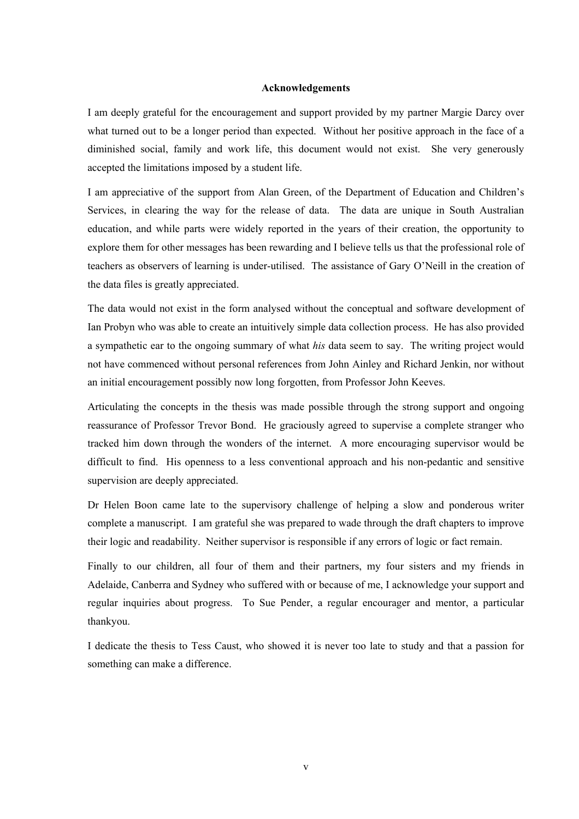#### <span id="page-5-0"></span>**Acknowledgements**

I am deeply grateful for the encouragement and support provided by my partner Margie Darcy over what turned out to be a longer period than expected. Without her positive approach in the face of a diminished social, family and work life, this document would not exist. She very generously accepted the limitations imposed by a student life.

I am appreciative of the support from Alan Green, of the Department of Education and Children's Services, in clearing the way for the release of data. The data are unique in South Australian education, and while parts were widely reported in the years of their creation, the opportunity to explore them for other messages has been rewarding and I believe tells us that the professional role of teachers as observers of learning is under-utilised. The assistance of Gary O'Neill in the creation of the data files is greatly appreciated.

The data would not exist in the form analysed without the conceptual and software development of Ian Probyn who was able to create an intuitively simple data collection process. He has also provided a sympathetic ear to the ongoing summary of what *his* data seem to say. The writing project would not have commenced without personal references from John Ainley and Richard Jenkin, nor without an initial encouragement possibly now long forgotten, from Professor John Keeves.

Articulating the concepts in the thesis was made possible through the strong support and ongoing reassurance of Professor Trevor Bond. He graciously agreed to supervise a complete stranger who tracked him down through the wonders of the internet. A more encouraging supervisor would be difficult to find. His openness to a less conventional approach and his non-pedantic and sensitive supervision are deeply appreciated.

Dr Helen Boon came late to the supervisory challenge of helping a slow and ponderous writer complete a manuscript. I am grateful she was prepared to wade through the draft chapters to improve their logic and readability. Neither supervisor is responsible if any errors of logic or fact remain.

Finally to our children, all four of them and their partners, my four sisters and my friends in Adelaide, Canberra and Sydney who suffered with or because of me, I acknowledge your support and regular inquiries about progress. To Sue Pender, a regular encourager and mentor, a particular thankyou.

I dedicate the thesis to Tess Caust, who showed it is never too late to study and that a passion for something can make a difference.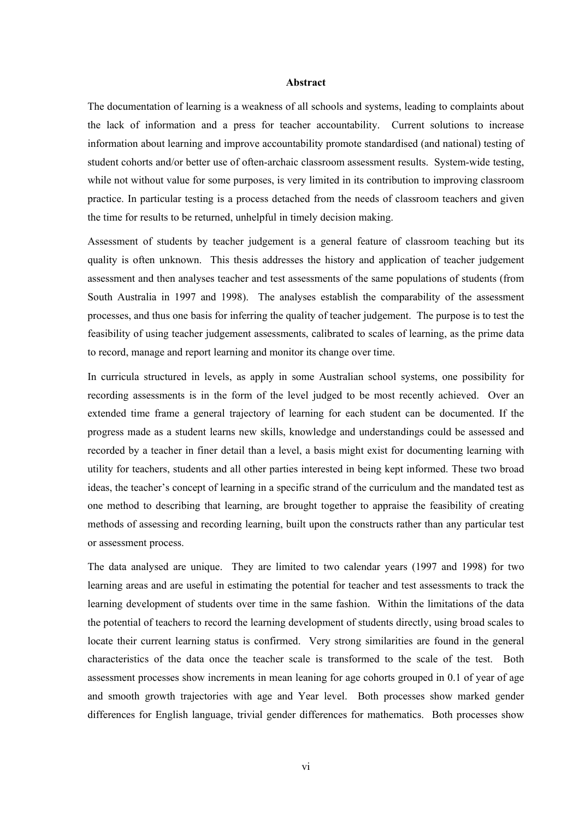#### <span id="page-6-0"></span>**Abstract**

The documentation of learning is a weakness of all schools and systems, leading to complaints about the lack of information and a press for teacher accountability. Current solutions to increase information about learning and improve accountability promote standardised (and national) testing of student cohorts and/or better use of often-archaic classroom assessment results. System-wide testing, while not without value for some purposes, is very limited in its contribution to improving classroom practice. In particular testing is a process detached from the needs of classroom teachers and given the time for results to be returned, unhelpful in timely decision making.

Assessment of students by teacher judgement is a general feature of classroom teaching but its quality is often unknown. This thesis addresses the history and application of teacher judgement assessment and then analyses teacher and test assessments of the same populations of students (from South Australia in 1997 and 1998). The analyses establish the comparability of the assessment processes, and thus one basis for inferring the quality of teacher judgement. The purpose is to test the feasibility of using teacher judgement assessments, calibrated to scales of learning, as the prime data to record, manage and report learning and monitor its change over time.

In curricula structured in levels, as apply in some Australian school systems, one possibility for recording assessments is in the form of the level judged to be most recently achieved. Over an extended time frame a general trajectory of learning for each student can be documented. If the progress made as a student learns new skills, knowledge and understandings could be assessed and recorded by a teacher in finer detail than a level, a basis might exist for documenting learning with utility for teachers, students and all other parties interested in being kept informed. These two broad ideas, the teacher's concept of learning in a specific strand of the curriculum and the mandated test as one method to describing that learning, are brought together to appraise the feasibility of creating methods of assessing and recording learning, built upon the constructs rather than any particular test or assessment process.

The data analysed are unique. They are limited to two calendar years (1997 and 1998) for two learning areas and are useful in estimating the potential for teacher and test assessments to track the learning development of students over time in the same fashion. Within the limitations of the data the potential of teachers to record the learning development of students directly, using broad scales to locate their current learning status is confirmed. Very strong similarities are found in the general characteristics of the data once the teacher scale is transformed to the scale of the test. Both assessment processes show increments in mean leaning for age cohorts grouped in 0.1 of year of age and smooth growth trajectories with age and Year level. Both processes show marked gender differences for English language, trivial gender differences for mathematics. Both processes show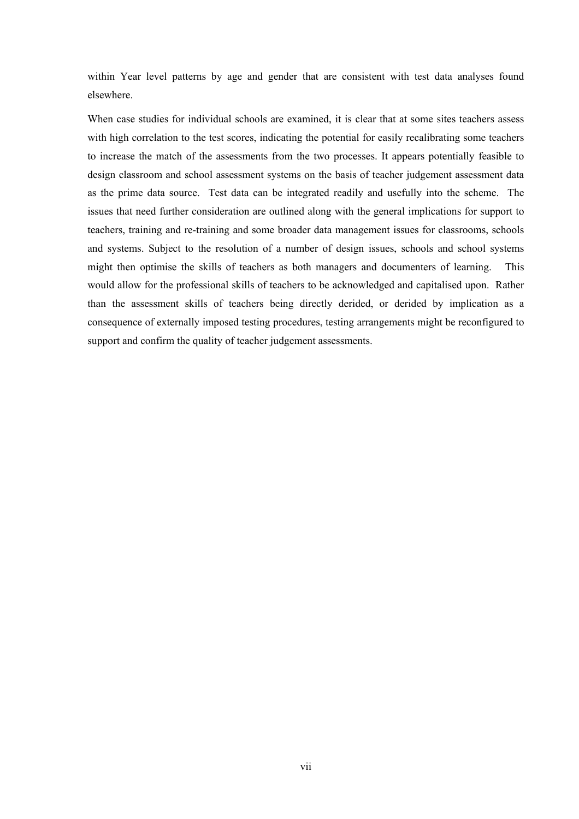within Year level patterns by age and gender that are consistent with test data analyses found elsewhere.

When case studies for individual schools are examined, it is clear that at some sites teachers assess with high correlation to the test scores, indicating the potential for easily recalibrating some teachers to increase the match of the assessments from the two processes. It appears potentially feasible to design classroom and school assessment systems on the basis of teacher judgement assessment data as the prime data source. Test data can be integrated readily and usefully into the scheme. The issues that need further consideration are outlined along with the general implications for support to teachers, training and re-training and some broader data management issues for classrooms, schools and systems. Subject to the resolution of a number of design issues, schools and school systems might then optimise the skills of teachers as both managers and documenters of learning. This would allow for the professional skills of teachers to be acknowledged and capitalised upon. Rather than the assessment skills of teachers being directly derided, or derided by implication as a consequence of externally imposed testing procedures, testing arrangements might be reconfigured to support and confirm the quality of teacher judgement assessments.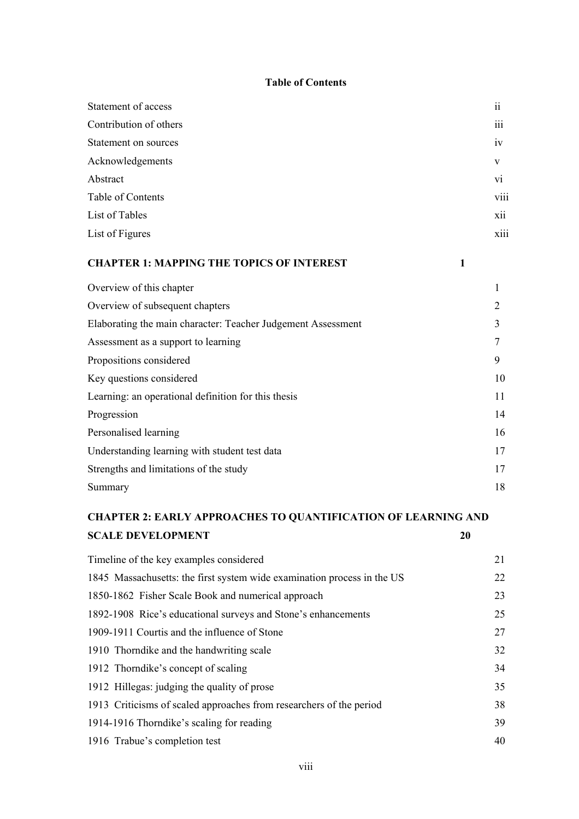#### <span id="page-8-0"></span>**Table of Contents**

| Statement of access    | $\ddot{\rm ii}$         |
|------------------------|-------------------------|
| Contribution of others | $\cdots$<br>111         |
| Statement on sources   | iv                      |
| Acknowledgements       | V                       |
| Abstract               | vi                      |
| Table of Contents      | viii                    |
| List of Tables         | xii                     |
| List of Figures        | $\cdots$<br><b>X111</b> |
|                        |                         |

### **CHAPTER 1: MAPPING THE TOPICS OF INTEREST 1**

| Overview of this chapter                                     |    |
|--------------------------------------------------------------|----|
| Overview of subsequent chapters                              | 2  |
| Elaborating the main character: Teacher Judgement Assessment | 3  |
| Assessment as a support to learning                          | 7  |
| Propositions considered                                      | 9  |
| Key questions considered                                     | 10 |
| Learning: an operational definition for this thesis          | 11 |
| Progression                                                  | 14 |
| Personalised learning                                        | 16 |
| Understanding learning with student test data                | 17 |
| Strengths and limitations of the study                       | 17 |
| Summary                                                      | 18 |

# **CHAPTER 2: EARLY APPROACHES TO QUANTIFICATION OF LEARNING AND SCALE DEVELOPMENT** 20

| Timeline of the key examples considered                                 | 21 |
|-------------------------------------------------------------------------|----|
| 1845 Massachusetts: the first system wide examination process in the US | 22 |
| 1850-1862 Fisher Scale Book and numerical approach                      | 23 |
| 1892-1908 Rice's educational surveys and Stone's enhancements           | 25 |
| 1909-1911 Courtis and the influence of Stone                            | 27 |
| 1910 Thorndike and the handwriting scale                                | 32 |
| 1912 Thorndike's concept of scaling                                     | 34 |
| 1912 Hillegas: judging the quality of prose                             | 35 |
| 1913 Criticisms of scaled approaches from researchers of the period     | 38 |
| 1914-1916 Thorndike's scaling for reading                               | 39 |
| 1916 Trabue's completion test                                           | 40 |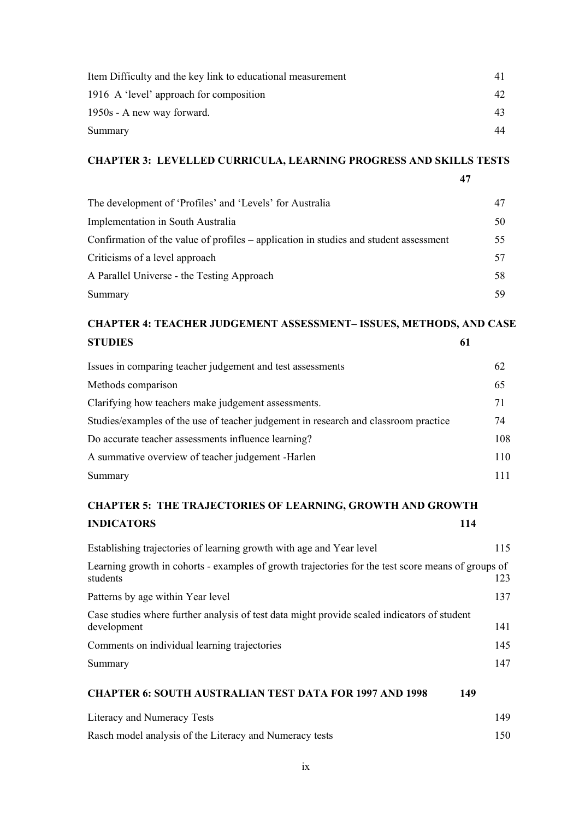| Item Difficulty and the key link to educational measurement | 41 |
|-------------------------------------------------------------|----|
| 1916 A 'level' approach for composition                     | 42 |
| 1950s - A new way forward.                                  | 43 |
| Summary                                                     | 44 |

# **CHAPTER 3: LEVELLED CURRICULA, LEARNING PROGRESS AND SKILLS TESTS**

**47**

| The development of 'Profiles' and 'Levels' for Australia                              | 47 |
|---------------------------------------------------------------------------------------|----|
| Implementation in South Australia                                                     | 50 |
| Confirmation of the value of profiles – application in studies and student assessment | 55 |
| Criticisms of a level approach                                                        | 57 |
| A Parallel Universe - the Testing Approach                                            | 58 |
| Summary                                                                               | 59 |

# **CHAPTER 4: TEACHER JUDGEMENT ASSESSMENT– ISSUES, METHODS, AND CASE STUDIES 61**

| Issues in comparing teacher judgement and test assessments                          | 62  |
|-------------------------------------------------------------------------------------|-----|
| Methods comparison                                                                  | 65  |
| Clarifying how teachers make judgement assessments.                                 | 71  |
| Studies/examples of the use of teacher judgement in research and classroom practice | 74  |
| Do accurate teacher assessments influence learning?                                 | 108 |
| A summative overview of teacher judgement -Harlen                                   | 110 |
| Summary                                                                             |     |

# **CHAPTER 5: THE TRAJECTORIES OF LEARNING, GROWTH AND GROWTH INDICATORS 114**

| Establishing trajectories of learning growth with age and Year level                                           | 115 |
|----------------------------------------------------------------------------------------------------------------|-----|
| Learning growth in cohorts - examples of growth trajectories for the test score means of groups of<br>students | 123 |
| Patterns by age within Year level                                                                              | 137 |
| Case studies where further analysis of test data might provide scaled indicators of student<br>development     | 141 |
| Comments on individual learning trajectories                                                                   | 145 |
| Summary                                                                                                        | 147 |
| <b>CHAPTER 6: SOUTH AUSTRALIAN TEST DATA FOR 1997 AND 1998</b><br>149                                          |     |
| Literacy and Numeracy Tests                                                                                    | 149 |

Rasch model analysis of the Literacy and Numeracy tests 150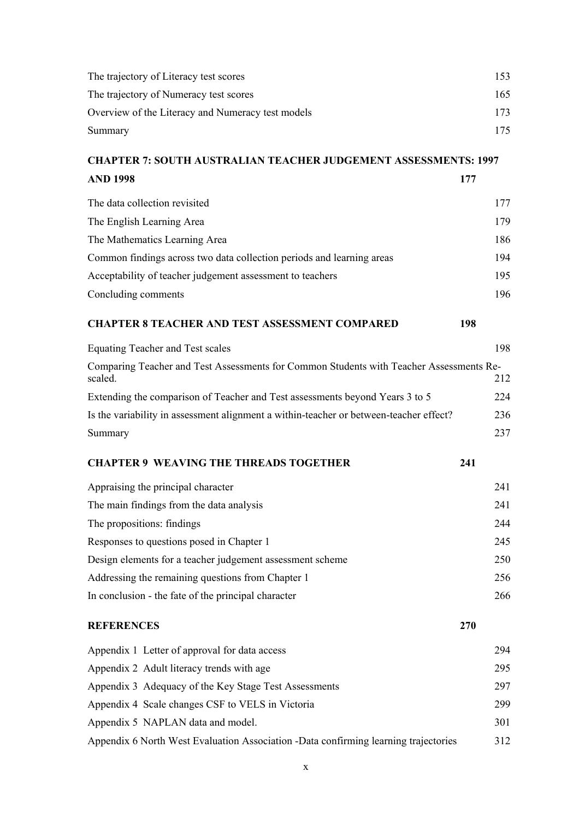| The trajectory of Literacy test scores                                                             | 153 |
|----------------------------------------------------------------------------------------------------|-----|
| The trajectory of Numeracy test scores                                                             | 165 |
| Overview of the Literacy and Numeracy test models                                                  | 173 |
| Summary                                                                                            | 175 |
| <b>CHAPTER 7: SOUTH AUSTRALIAN TEACHER JUDGEMENT ASSESSMENTS: 1997</b>                             |     |
| <b>AND 1998</b>                                                                                    | 177 |
| The data collection revisited                                                                      | 177 |
| The English Learning Area                                                                          | 179 |
| The Mathematics Learning Area                                                                      | 186 |
| Common findings across two data collection periods and learning areas                              | 194 |
| Acceptability of teacher judgement assessment to teachers                                          | 195 |
| Concluding comments                                                                                | 196 |
| <b>CHAPTER 8 TEACHER AND TEST ASSESSMENT COMPARED</b>                                              | 198 |
| Equating Teacher and Test scales                                                                   | 198 |
| Comparing Teacher and Test Assessments for Common Students with Teacher Assessments Re-<br>scaled. | 212 |
| Extending the comparison of Teacher and Test assessments beyond Years 3 to 5                       | 224 |
| Is the variability in assessment alignment a within-teacher or between-teacher effect?             | 236 |
| Summary                                                                                            | 237 |
| <b>CHAPTER 9 WEAVING THE THREADS TOGETHER</b>                                                      | 241 |
| Appraising the principal character                                                                 | 241 |
| The main findings from the data analysis                                                           | 241 |
| The propositions: findings                                                                         | 244 |
| Responses to questions posed in Chapter 1                                                          | 245 |
| Design elements for a teacher judgement assessment scheme                                          | 250 |
| Addressing the remaining questions from Chapter 1                                                  | 256 |
| In conclusion - the fate of the principal character                                                | 266 |
| <b>REFERENCES</b>                                                                                  | 270 |
| Appendix 1 Letter of approval for data access                                                      | 294 |
| Appendix 2 Adult literacy trends with age                                                          | 295 |
| Appendix 3 Adequacy of the Key Stage Test Assessments                                              | 297 |
| Appendix 4 Scale changes CSF to VELS in Victoria                                                   | 299 |
| Appendix 5 NAPLAN data and model.                                                                  | 301 |
| Appendix 6 North West Evaluation Association -Data confirming learning trajectories                | 312 |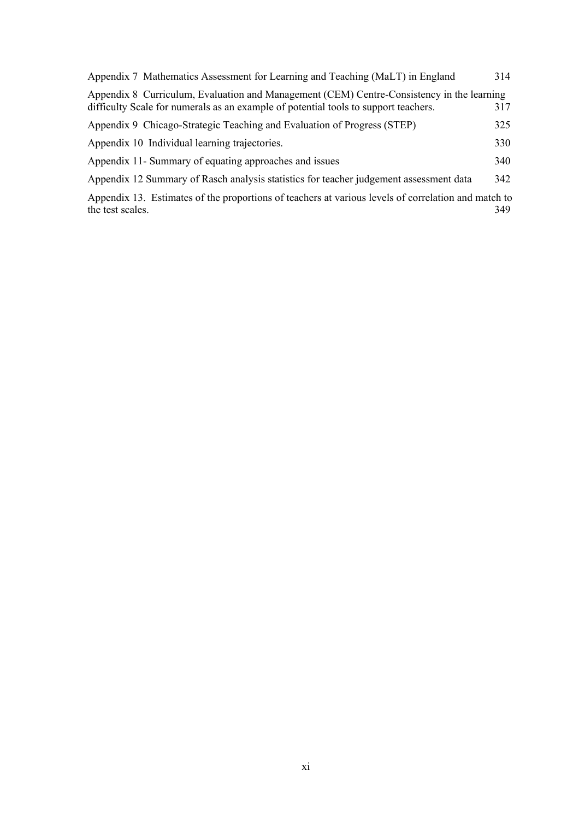| Appendix 7 Mathematics Assessment for Learning and Teaching (MaLT) in England                                                                                                    | 314 |
|----------------------------------------------------------------------------------------------------------------------------------------------------------------------------------|-----|
| Appendix 8 Curriculum, Evaluation and Management (CEM) Centre-Consistency in the learning<br>difficulty Scale for numerals as an example of potential tools to support teachers. | 317 |
| Appendix 9 Chicago-Strategic Teaching and Evaluation of Progress (STEP)                                                                                                          | 325 |
| Appendix 10 Individual learning trajectories.                                                                                                                                    | 330 |
| Appendix 11- Summary of equating approaches and issues                                                                                                                           | 340 |
| Appendix 12 Summary of Rasch analysis statistics for teacher judgement assessment data                                                                                           | 342 |
| Appendix 13. Estimates of the proportions of teachers at various levels of correlation and match to<br>the test scales.                                                          | 349 |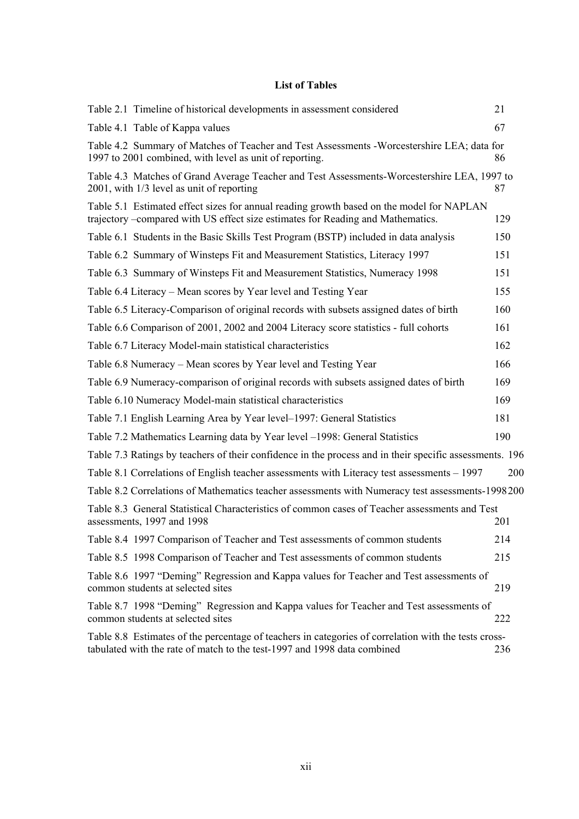#### <span id="page-12-0"></span>**List of Tables**

| Table 2.1 Timeline of historical developments in assessment considered                                                                                                           | 21  |
|----------------------------------------------------------------------------------------------------------------------------------------------------------------------------------|-----|
| Table 4.1 Table of Kappa values                                                                                                                                                  | 67  |
| Table 4.2 Summary of Matches of Teacher and Test Assessments -Worcestershire LEA; data for<br>1997 to 2001 combined, with level as unit of reporting.                            | 86  |
| Table 4.3 Matches of Grand Average Teacher and Test Assessments-Worcestershire LEA, 1997 to<br>2001, with 1/3 level as unit of reporting                                         | 87  |
| Table 5.1 Estimated effect sizes for annual reading growth based on the model for NAPLAN<br>trajectory –compared with US effect size estimates for Reading and Mathematics.      | 129 |
| Table 6.1 Students in the Basic Skills Test Program (BSTP) included in data analysis                                                                                             | 150 |
| Table 6.2 Summary of Winsteps Fit and Measurement Statistics, Literacy 1997                                                                                                      | 151 |
| Table 6.3 Summary of Winsteps Fit and Measurement Statistics, Numeracy 1998                                                                                                      | 151 |
| Table 6.4 Literacy – Mean scores by Year level and Testing Year                                                                                                                  | 155 |
| Table 6.5 Literacy-Comparison of original records with subsets assigned dates of birth                                                                                           | 160 |
| Table 6.6 Comparison of 2001, 2002 and 2004 Literacy score statistics - full cohorts                                                                                             | 161 |
| Table 6.7 Literacy Model-main statistical characteristics                                                                                                                        | 162 |
| Table 6.8 Numeracy – Mean scores by Year level and Testing Year                                                                                                                  | 166 |
| Table 6.9 Numeracy-comparison of original records with subsets assigned dates of birth                                                                                           | 169 |
| Table 6.10 Numeracy Model-main statistical characteristics                                                                                                                       | 169 |
| Table 7.1 English Learning Area by Year level–1997: General Statistics                                                                                                           | 181 |
| Table 7.2 Mathematics Learning data by Year level –1998: General Statistics                                                                                                      | 190 |
| Table 7.3 Ratings by teachers of their confidence in the process and in their specific assessments. 196                                                                          |     |
| Table 8.1 Correlations of English teacher assessments with Literacy test assessments – 1997                                                                                      | 200 |
| Table 8.2 Correlations of Mathematics teacher assessments with Numeracy test assessments-1998200                                                                                 |     |
| Table 8.3 General Statistical Characteristics of common cases of Teacher assessments and Test<br>assessments, 1997 and 1998                                                      | 201 |
| Table 8.4 1997 Comparison of Teacher and Test assessments of common students                                                                                                     | 214 |
| Table 8.5 1998 Comparison of Teacher and Test assessments of common students                                                                                                     | 215 |
| Table 8.6 1997 "Deming" Regression and Kappa values for Teacher and Test assessments of<br>common students at selected sites                                                     | 219 |
| Table 8.7 1998 "Deming" Regression and Kappa values for Teacher and Test assessments of<br>common students at selected sites                                                     | 222 |
| Table 8.8 Estimates of the percentage of teachers in categories of correlation with the tests cross-<br>tabulated with the rate of match to the test-1997 and 1998 data combined | 236 |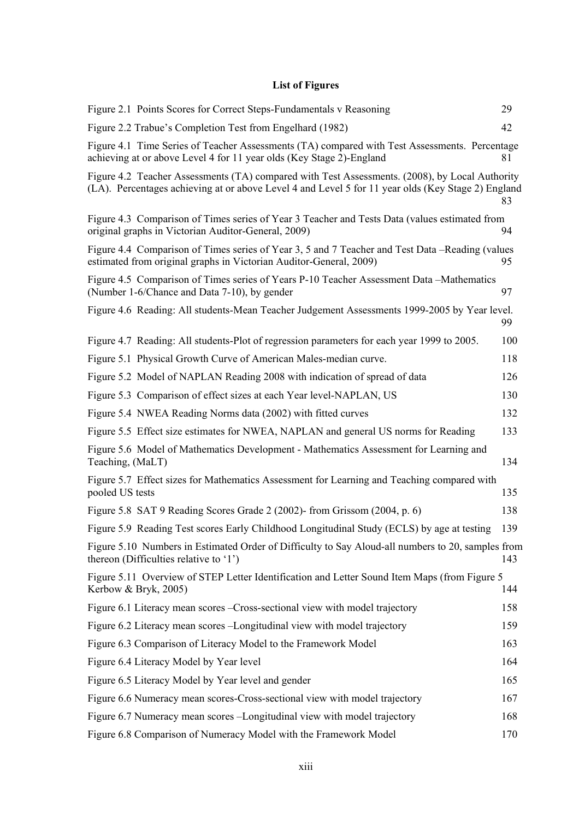## <span id="page-13-0"></span>**List of Figures**

| Figure 2.1 Points Scores for Correct Steps-Fundamentals v Reasoning                                                                                                                                  | 29  |
|------------------------------------------------------------------------------------------------------------------------------------------------------------------------------------------------------|-----|
| Figure 2.2 Trabue's Completion Test from Engelhard (1982)                                                                                                                                            | 42  |
| Figure 4.1 Time Series of Teacher Assessments (TA) compared with Test Assessments. Percentage<br>achieving at or above Level 4 for 11 year olds (Key Stage 2)-England                                | 81  |
| Figure 4.2 Teacher Assessments (TA) compared with Test Assessments. (2008), by Local Authority<br>(LA). Percentages achieving at or above Level 4 and Level 5 for 11 year olds (Key Stage 2) England | 83  |
| Figure 4.3 Comparison of Times series of Year 3 Teacher and Tests Data (values estimated from<br>original graphs in Victorian Auditor-General, 2009)                                                 | 94  |
| Figure 4.4 Comparison of Times series of Year 3, 5 and 7 Teacher and Test Data -Reading (values<br>estimated from original graphs in Victorian Auditor-General, 2009)                                | 95  |
| Figure 4.5 Comparison of Times series of Years P-10 Teacher Assessment Data – Mathematics<br>(Number 1-6/Chance and Data 7-10), by gender                                                            | 97  |
| Figure 4.6 Reading: All students-Mean Teacher Judgement Assessments 1999-2005 by Year level.                                                                                                         | 99  |
| Figure 4.7 Reading: All students-Plot of regression parameters for each year 1999 to 2005.                                                                                                           | 100 |
| Figure 5.1 Physical Growth Curve of American Males-median curve.                                                                                                                                     | 118 |
| Figure 5.2 Model of NAPLAN Reading 2008 with indication of spread of data                                                                                                                            | 126 |
| Figure 5.3 Comparison of effect sizes at each Year level-NAPLAN, US                                                                                                                                  | 130 |
| Figure 5.4 NWEA Reading Norms data (2002) with fitted curves                                                                                                                                         | 132 |
| Figure 5.5 Effect size estimates for NWEA, NAPLAN and general US norms for Reading                                                                                                                   | 133 |
| Figure 5.6 Model of Mathematics Development - Mathematics Assessment for Learning and<br>Teaching, (MaLT)                                                                                            | 134 |
| Figure 5.7 Effect sizes for Mathematics Assessment for Learning and Teaching compared with<br>pooled US tests                                                                                        | 135 |
| Figure 5.8 SAT 9 Reading Scores Grade 2 (2002) from Grissom (2004, p. 6)                                                                                                                             | 138 |
| Figure 5.9 Reading Test scores Early Childhood Longitudinal Study (ECLS) by age at testing                                                                                                           | 139 |
| Figure 5.10 Numbers in Estimated Order of Difficulty to Say Aloud-all numbers to 20, samples from<br>thereon (Difficulties relative to '1')                                                          | 143 |
| Figure 5.11 Overview of STEP Letter Identification and Letter Sound Item Maps (from Figure 5<br>Kerbow & Bryk, 2005)                                                                                 | 144 |
| Figure 6.1 Literacy mean scores – Cross-sectional view with model trajectory                                                                                                                         | 158 |
| Figure 6.2 Literacy mean scores - Longitudinal view with model trajectory                                                                                                                            | 159 |
| Figure 6.3 Comparison of Literacy Model to the Framework Model                                                                                                                                       | 163 |
| Figure 6.4 Literacy Model by Year level                                                                                                                                                              | 164 |
| Figure 6.5 Literacy Model by Year level and gender                                                                                                                                                   | 165 |
| Figure 6.6 Numeracy mean scores-Cross-sectional view with model trajectory                                                                                                                           | 167 |
| Figure 6.7 Numeracy mean scores - Longitudinal view with model trajectory                                                                                                                            | 168 |
| Figure 6.8 Comparison of Numeracy Model with the Framework Model                                                                                                                                     | 170 |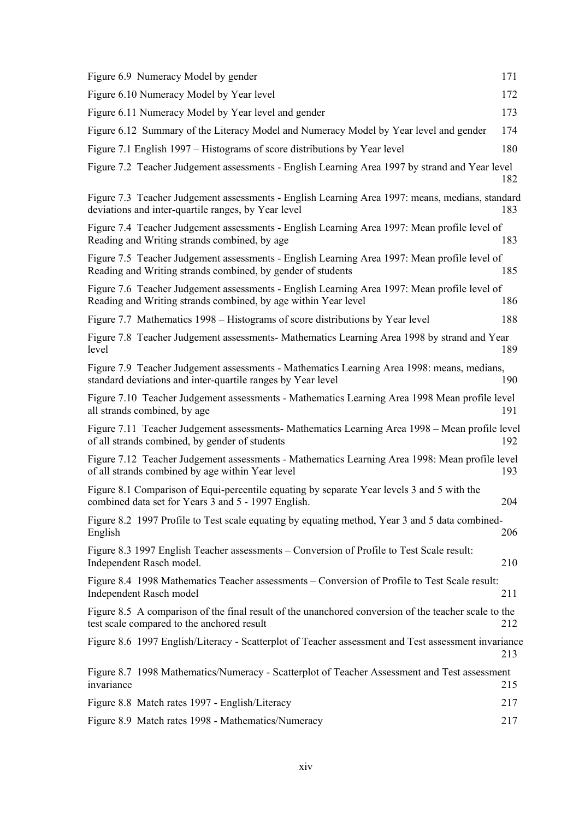| Figure 6.9 Numeracy Model by gender                                                                                                                            | 171 |
|----------------------------------------------------------------------------------------------------------------------------------------------------------------|-----|
| Figure 6.10 Numeracy Model by Year level                                                                                                                       | 172 |
| Figure 6.11 Numeracy Model by Year level and gender                                                                                                            | 173 |
| Figure 6.12 Summary of the Literacy Model and Numeracy Model by Year level and gender                                                                          | 174 |
| Figure 7.1 English 1997 – Histograms of score distributions by Year level                                                                                      | 180 |
| Figure 7.2 Teacher Judgement assessments - English Learning Area 1997 by strand and Year level                                                                 | 182 |
| Figure 7.3 Teacher Judgement assessments - English Learning Area 1997: means, medians, standard<br>deviations and inter-quartile ranges, by Year level         | 183 |
| Figure 7.4 Teacher Judgement assessments - English Learning Area 1997: Mean profile level of<br>Reading and Writing strands combined, by age                   | 183 |
| Figure 7.5 Teacher Judgement assessments - English Learning Area 1997: Mean profile level of<br>Reading and Writing strands combined, by gender of students    | 185 |
| Figure 7.6 Teacher Judgement assessments - English Learning Area 1997: Mean profile level of<br>Reading and Writing strands combined, by age within Year level | 186 |
| Figure 7.7 Mathematics 1998 – Histograms of score distributions by Year level                                                                                  | 188 |
| Figure 7.8 Teacher Judgement assessments- Mathematics Learning Area 1998 by strand and Year<br>level                                                           | 189 |
| Figure 7.9 Teacher Judgement assessments - Mathematics Learning Area 1998: means, medians,<br>standard deviations and inter-quartile ranges by Year level      | 190 |
| Figure 7.10 Teacher Judgement assessments - Mathematics Learning Area 1998 Mean profile level<br>all strands combined, by age                                  | 191 |
| Figure 7.11 Teacher Judgement assessments- Mathematics Learning Area 1998 – Mean profile level<br>of all strands combined, by gender of students               | 192 |
| Figure 7.12 Teacher Judgement assessments - Mathematics Learning Area 1998: Mean profile level<br>of all strands combined by age within Year level             | 193 |
| Figure 8.1 Comparison of Equi-percentile equating by separate Year levels 3 and 5 with the<br>combined data set for Years 3 and 5 - 1997 English.              | 204 |
| Figure 8.2 1997 Profile to Test scale equating by equating method, Year 3 and 5 data combined-<br>English                                                      | 206 |
| Figure 8.3 1997 English Teacher assessments – Conversion of Profile to Test Scale result:<br>Independent Rasch model.                                          | 210 |
| Figure 8.4 1998 Mathematics Teacher assessments - Conversion of Profile to Test Scale result:<br>Independent Rasch model                                       | 211 |
| Figure 8.5 A comparison of the final result of the unanchored conversion of the teacher scale to the<br>test scale compared to the anchored result             | 212 |
| Figure 8.6 1997 English/Literacy - Scatterplot of Teacher assessment and Test assessment invariance                                                            | 213 |
| Figure 8.7 1998 Mathematics/Numeracy - Scatterplot of Teacher Assessment and Test assessment<br>invariance                                                     | 215 |
| Figure 8.8 Match rates 1997 - English/Literacy                                                                                                                 | 217 |
| Figure 8.9 Match rates 1998 - Mathematics/Numeracy                                                                                                             | 217 |